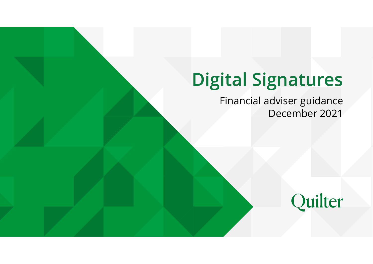# Quilter Basic B rand Guidelines Our brand assets 1 Digital Signatures

Financial adviser guidance December 2021

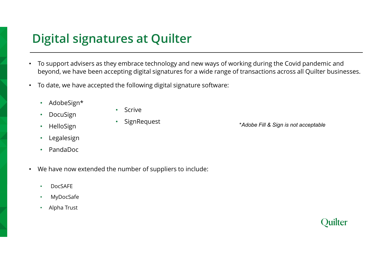# Digital signatures at Quilter

- To support advisers as they embrace technology and new ways of working during the Covid pandemic and beyond, we have been accepting digital signatures for a wide range of transactions across all Quilter businesses.
- To date, we have accepted the following digital signature software:
	- AdobeSign\*
	- **DocuSign**

• Scrive

• SignRequest

- HelloSign
- **Legalesign**
- PandaDoc
- We have now extended the number of suppliers to include:
	- DocSAFE
	- **MyDocSafe**
	- Alpha Trust

\*Adobe Fill & Sign is not acceptable

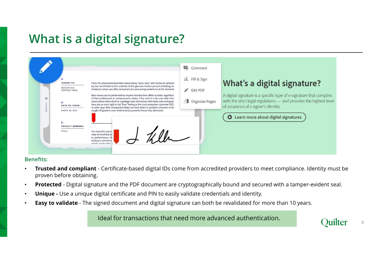# What is a digital signature?



### Benefits:

- proven before obtaining.
- 
- 
- 

Ideal for transactions that need more advanced authentication.



3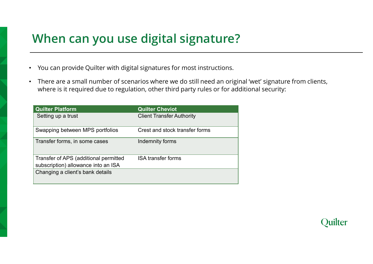# When can you use digital signature?

- You can provide Quilter with digital signatures for most instructions.
- There are a small number of scenarios where we do still need an original 'wet' signature from clients, where is it required due to regulation, other third party rules or for additional security:

| When can you use digital signature?                                          |                                                                                                                                                                                        |  |  |
|------------------------------------------------------------------------------|----------------------------------------------------------------------------------------------------------------------------------------------------------------------------------------|--|--|
|                                                                              | You can provide Quilter with digital signatures for most instructions.                                                                                                                 |  |  |
|                                                                              | There are a small number of scenarios where we do still need an original 'wet' signature<br>where is it required due to regulation, other third party rules or for additional security |  |  |
| <b>Quilter Platform</b>                                                      | <b>Quilter Cheviot</b>                                                                                                                                                                 |  |  |
| Setting up a trust                                                           | <b>Client Transfer Authority</b>                                                                                                                                                       |  |  |
| Swapping between MPS portfolios                                              | Crest and stock transfer forms                                                                                                                                                         |  |  |
| Transfer forms, in some cases                                                | Indemnity forms                                                                                                                                                                        |  |  |
| Transfer of APS (additional permitted<br>subscription) allowance into an ISA | <b>ISA transfer forms</b>                                                                                                                                                              |  |  |
|                                                                              |                                                                                                                                                                                        |  |  |

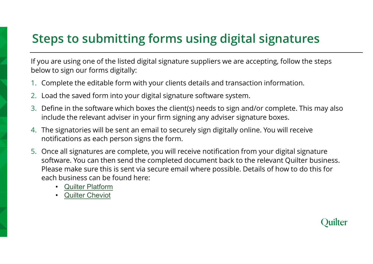# Steps to submitting forms using digital signatures

If you are using one of the listed digital signature suppliers we are accepting, follow the steps below to sign our forms digitally:

- 1. Complete the editable form with your clients details and transaction information.
- 2. Load the saved form into your digital signature software system.
- 3. Define in the software which boxes the client(s) needs to sign and/or complete. This may also include the relevant adviser in your firm signing any adviser signature boxes.
- 4. The signatories will be sent an email to securely sign digitally online. You will receive notifications as each person signs the form.
- 5. Once all signatures are complete, you will receive notification from your digital signature software. You can then send the completed document back to the relevant Quilter business. Please make sure this is sent via secure email where possible. Details of how to do this for each business can be found here:
	- Quilter Platform
	- **Quilter Cheviot**

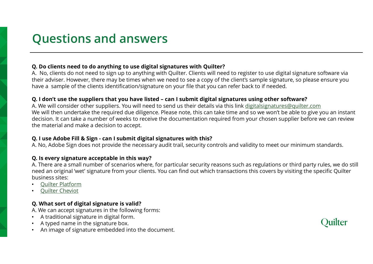# Questions and answers

## Q. Do clients need to do anything to use digital signatures with Quilter?

QUESTIONS AND ANSWEYS<br>
A. No, clients need to do anything to use digital signatures with Quilter?<br>
A. No, clients do not need to sign up to anything with Quilter. Clients will need to register to use digital signature soft their adviser. However, there may be times when we need to see a copy of the client's sample signature, so please ensure you have a sample of the clients identification/signature on your file that you can refer back to if needed.

Questions and answers<br>
a. No, clients need to do anything to use digital signatures with Quilter?<br>
A. No, clients do not need to sign up to anything with Quilter. Clients will need to register to use digital signature soft A. We will consider other suppliers. You will need to send us their details via this link digitalsignatures@quilter.com We will then undertake the required due diligence. Please note, this can take time and so we won't be able to give you an instant decision. It can take a number of weeks to receive the documentation required from your chosen supplier before we can review the material and make a decision to accept. **QUESTIONS AND ANSWEYS**<br> **Q. Docilents need to do anything to use digital signatures with Quilter?**<br>
A. No, clients do not need to sign up to anything with Quilter. Clients will need to register to use d<br>
their adviser. Ho

A. No, Adobe Sign does not provide the necessary audit trail, security controls and validity to meet our minimum standards.

## Q. Is every signature acceptable in this way?

A. There are a small number of scenarios where, for particular security reasons such as regulations or third party rules, we do still need an original 'wet' signature from your clients. You can find out which transactions this covers by visiting the specific Quilter business sites:

- Quilter Platform
- Quilter Cheviot

## Q. What sort of digital signature is valid?

A. We can accept signatures in the following forms:

- A traditional signature in digital form.
- A typed name in the signature box.
- An image of signature embedded into the document.

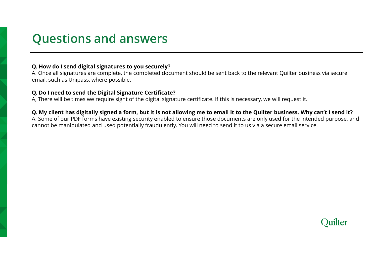## Questions and answers

## Q. How do I send digital signatures to you securely?

A. Once all signatures are complete, the completed document should be sent back to the relevant Quilter business via secure email, such as Unipass, where possible.

## Q. Do I need to send the Digital Signature Certificate?

A, There will be times we require sight of the digital signature certificate. If this is necessary, we will request it.

## Q. My client has digitally signed a form, but it is not allowing me to email it to the Quilter business. Why can't I send it?

A. Some of our PDF forms have existing security enabled to ensure those documents are only used for the intended purpose, and cannot be manipulated and used potentially fraudulently. You will need to send it to us via a secure email service.